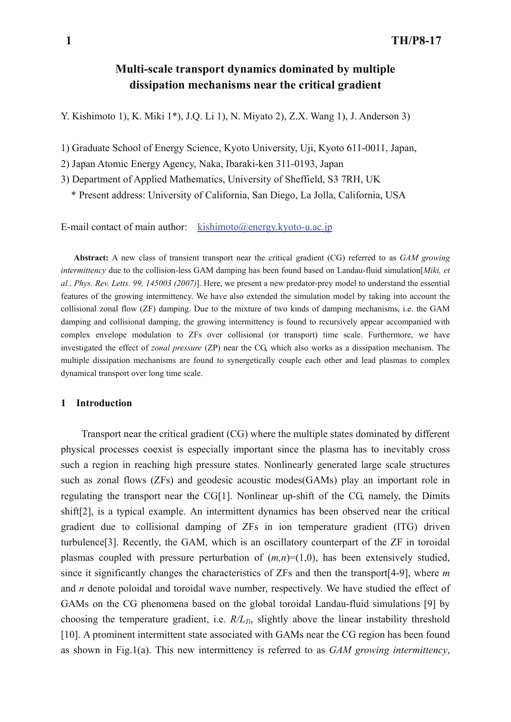# **Multi-scale transport dynamics dominated by multiple dissipation mechanisms near the critical gradient**

Y. Kishimoto 1), K. Miki 1\*), J.Q. Li 1), N. Miyato 2), Z.X. Wang 1), J. Anderson 3)

1) Graduate School of Energy Science, Kyoto University, Uji, Kyoto 611-0011, Japan,

2) Japan Atomic Energy Agency, Naka, Ibaraki-ken 311-0193, Japan

3) Department of Applied Mathematics, University of Sheffield, S3 7RH, UK

\* Present address: University of California, San Diego, La Jolla, California, USA

E-mail contact of main author: kishimoto@energy.kyoto-u.ac.jp

**Abstract:** A new class of transient transport near the critical gradient (CG) referred to as *GAM growing intermittency* due to the collision-less GAM damping has been found based on Landau-fluid simulation[*Miki, et al., Phys. Rev. Letts. 99, 145003 (2007)*]. Here, we present a new predator-prey model to understand the essential features of the growing intermittency. We have also extended the simulation model by taking into account the collisional zonal flow (ZF) damping. Due to the mixture of two kinds of damping mechanisms, i.e. the GAM damping and collisional damping, the growing intermittency is found to recursively appear accompanied with complex envelope modulation to ZFs over collisional (or transport) time scale. Furthermore, we have investigated the effect of *zonal pressure* (ZP) near the CG, which also works as a dissipation mechanism. The multiple dissipation mechanisms are found to synergetically couple each other and lead plasmas to complex dynamical transport over long time scale.

#### **1 Introduction**

Transport near the critical gradient (CG) where the multiple states dominated by different physical processes coexist is especially important since the plasma has to inevitably cross such a region in reaching high pressure states. Nonlinearly generated large scale structures such as zonal flows (ZFs) and geodesic acoustic modes(GAMs) play an important role in regulating the transport near the CG[1]. Nonlinear up-shift of the CG, namely, the Dimits shift[2], is a typical example. An intermittent dynamics has been observed near the critical gradient due to collisional damping of ZFs in ion temperature gradient (ITG) driven turbulence[3]. Recently, the GAM, which is an oscillatory counterpart of the ZF in toroidal plasmas coupled with pressure perturbation of  $(m,n)=(1,0)$ , has been extensively studied, since it significantly changes the characteristics of ZFs and then the transport[4-9], where *m* and *n* denote poloidal and toroidal wave number, respectively. We have studied the effect of GAMs on the CG phenomena based on the global toroidal Landau-fluid simulations [9] by choosing the temperature gradient, i.e.  $R/L_{T_i}$ , slightly above the linear instability threshold [10]. A prominent intermittent state associated with GAMs near the CG region has been found as shown in Fig.1(a). This new intermittency is referred to as *GAM growing intermittency*,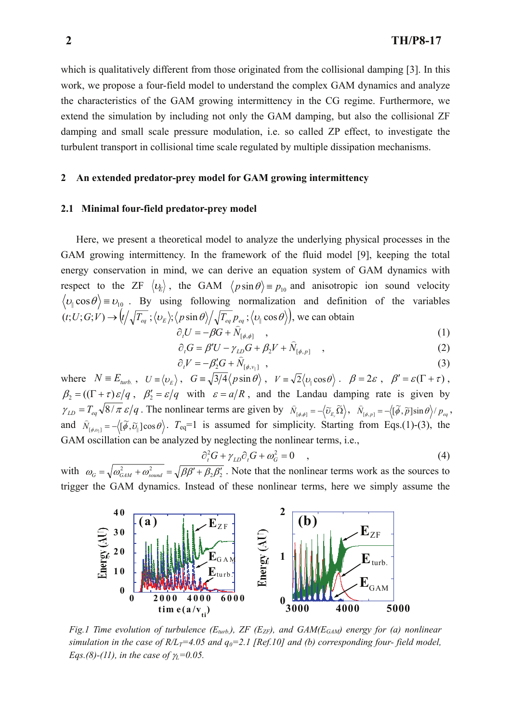which is qualitatively different from those originated from the collisional damping [3]. In this work, we propose a four-field model to understand the complex GAM dynamics and analyze the characteristics of the GAM growing intermittency in the CG regime. Furthermore, we extend the simulation by including not only the GAM damping, but also the collisional ZF damping and small scale pressure modulation, i.e. so called ZP effect, to investigate the turbulent transport in collisional time scale regulated by multiple dissipation mechanisms.

#### **2 An extended predator-prey model for GAM growing intermittency**

#### **2.1 Minimal four-field predator-prey model**

Here, we present a theoretical model to analyze the underlying physical processes in the GAM growing intermittency. In the framework of the fluid model [9], keeping the total energy conservation in mind, we can derive an equation system of GAM dynamics with respect to the ZF  $\langle v_k \rangle$ , the GAM  $\langle p \sin \theta \rangle = p_{10}$  and anisotropic ion sound velocity  $|v_{\parallel} \cos \theta \rangle = v_{10}$ . By using following normalization and definition of the variables  $(t; U; G; V) \rightarrow (t/\sqrt{T_{eq}};\langle v_E \rangle;\langle p \sin \theta \rangle / \sqrt{T_{eq} p_{eq}};\langle v_{\parallel} \cos \theta \rangle)$ , we can obtain

$$
\partial_t U = -\beta G + \widehat{N}_{[\phi,\phi]} \quad , \tag{1}
$$

$$
\partial_t G = \beta' U - \gamma_{LD} G + \beta_2 V + \hat{N}_{[\phi, p]} \quad , \tag{2}
$$

$$
\partial_t V = -\beta'_2 G + \hat{N}_{[\phi, v_{\parallel}]} \quad , \tag{3}
$$

where  $N = E_{turb.}$ ,  $U = \langle v_E \rangle$ ,  $G = \sqrt{3/4} \langle p \sin \theta \rangle$ ,  $V = \sqrt{2} \langle v_{\parallel} \cos \theta \rangle$ .  $\beta = 2\varepsilon$ ,  $\beta' = \varepsilon (\Gamma + \tau)$ ,  $\beta_2 = ((\Gamma + \tau) \varepsilon / q, \beta_2' = \varepsilon / q$  with  $\varepsilon = a/R$ , and the Landau damping rate is given by  $\gamma_{LD} = T_{eq} \sqrt{8/\pi \varepsilon / q}$ . The nonlinear terms are given by  $\hat{N}_{[\phi,\phi]} = -\langle \tilde{v}_{E,\tilde{\Omega}} \rangle$ ,  $\hat{N}_{[\phi,p]} = -\langle [\tilde{\phi}, \tilde{p}] \sin \theta \rangle / p_{eq}$ , and  $\hat{N}_{[\phi,\nu_1]} = -\langle [\tilde{\phi}, \tilde{\nu}_{\parallel}] \cos \theta \rangle$ .  $T_{eq}=1$  is assumed for simplicity. Starting from Eqs.(1)-(3), the GAM oscillation can be analyzed by neglecting the nonlinear terms, i.e.,

$$
\partial_t^2 G + \gamma_{LD} \partial_t G + \omega_G^2 = 0 \quad , \tag{4}
$$

with  $\omega_G = \sqrt{\omega_{GAM}^2 + \omega_{sound}^2} = \sqrt{\beta \beta' + \beta_2 \beta_2'}$ . Note that the nonlinear terms work as the sources to trigger the GAM dynamics. Instead of these nonlinear terms, here we simply assume the



*Fig.1 Time evolution of turbulence (* $E_{turb}$ *), ZF (* $E_{ZF}$ *), and GAM(* $E_{GAM}$ *) energy for (a) nonlinear simulation in the case of R/L<sub>T</sub>=4.05 and*  $q_0$ *=2.1 [Ref.10] and (b) corresponding four-field model, Eqs.(8)-(11), in the case of*  $\gamma$ *<sub>L</sub>=0.05.*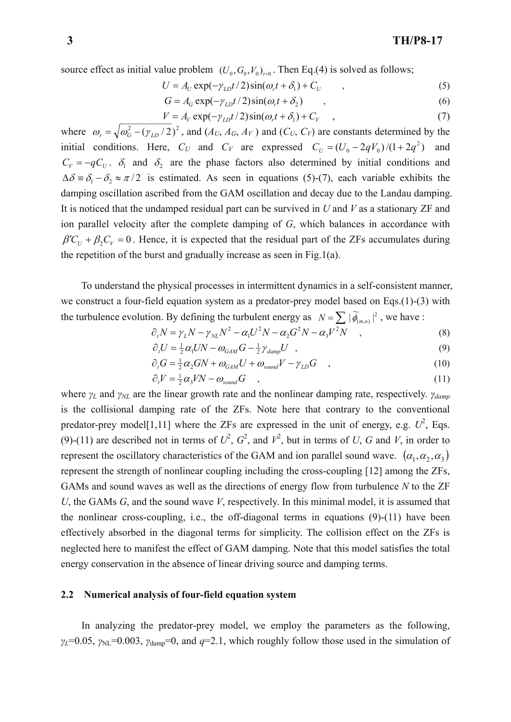source effect as initial value problem  $(U_0, G_0, V_0)_{t=0}$ . Then Eq.(4) is solved as follows;

$$
U = A_U \exp(-\gamma_{LD}t/2)\sin(\omega_r t + \delta_1) + C_U \tag{5}
$$

$$
G = A_G \exp(-\gamma_{LD}t/2)\sin(\omega_r t + \delta_2) \tag{6}
$$

$$
V = A_V \exp(-\gamma_{LD}t/2)\sin(\omega_r t + \delta_1) + C_V \quad , \tag{7}
$$

where  $\omega_r = \sqrt{\omega_G^2 - (\gamma_{LD}/2)^2}$ , and  $(A_U, A_G, A_V)$  and  $(C_U, C_V)$  are constants determined by the initial conditions. Here,  $C_U$  and  $C_V$  are expressed  $C_U = (U_0 - 2qV_0)/(1 + 2q^2)$  and  $C_V = -qC_U$ .  $\delta_1$  and  $\delta_2$  are the phase factors also determined by initial conditions and  $\Delta\delta = \delta_1 - \delta_2 \approx \pi/2$  is estimated. As seen in equations (5)-(7), each variable exhibits the damping oscillation ascribed from the GAM oscillation and decay due to the Landau damping. It is noticed that the undamped residual part can be survived in *U* and *V* as a stationary ZF and ion parallel velocity after the complete damping of *G*, which balances in accordance with  $\beta'C_U + \beta_2C_V = 0$ . Hence, it is expected that the residual part of the ZFs accumulates during the repetition of the burst and gradually increase as seen in Fig.1(a).

To understand the physical processes in intermittent dynamics in a self-consistent manner, we construct a four-field equation system as a predator-prey model based on Eqs.(1)-(3) with the turbulence evolution. By defining the turbulent energy as  $N = \sum |\widetilde{\phi}_{(m,n)}|^2$ , we have :

$$
\partial_t N = \gamma_L N - \gamma_{NL} N^2 - \alpha_1 U^2 N - \alpha_2 G^2 N - \alpha_3 V^2 N \quad , \tag{8}
$$

$$
\partial_t U = \frac{1}{2} \alpha_1 UN - \omega_{GAM} G - \frac{1}{2} \gamma_{damp} U \quad , \tag{9}
$$

$$
\partial_t G = \frac{1}{2} \alpha_2 G N + \omega_{GAM} U + \omega_{sound} V - \gamma_{LD} G \quad , \tag{10}
$$

$$
\partial_t V = \frac{1}{2} \alpha_3 V N - \omega_{sound} G \quad , \tag{11}
$$

where *γL* and *γNL* are the linear growth rate and the nonlinear damping rate, respectively. *γdamp* is the collisional damping rate of the ZFs. Note here that contrary to the conventional predator-prey model[1,11] where the ZFs are expressed in the unit of energy, e.g.  $U^2$ , Eqs. (9)-(11) are described not in terms of  $U^2$ ,  $G^2$ , and  $V^2$ , but in terms of *U*, *G* and *V*, in order to represent the oscillatory characteristics of the GAM and ion parallel sound wave.  $(\alpha_1, \alpha_2, \alpha_3)$ represent the strength of nonlinear coupling including the cross-coupling [12] among the ZFs, GAMs and sound waves as well as the directions of energy flow from turbulence *N* to the ZF *U*, the GAMs *G*, and the sound wave *V*, respectively. In this minimal model, it is assumed that the nonlinear cross-coupling, i.e., the off-diagonal terms in equations (9)-(11) have been effectively absorbed in the diagonal terms for simplicity. The collision effect on the ZFs is neglected here to manifest the effect of GAM damping. Note that this model satisfies the total energy conservation in the absence of linear driving source and damping terms.

#### **2.2 Numerical analysis of four-field equation system**

In analyzing the predator-prey model, we employ the parameters as the following,  $\gamma_L$ =0.05,  $\gamma_{NL}$ =0.003,  $\gamma_{damp}$ =0, and *q*=2.1, which roughly follow those used in the simulation of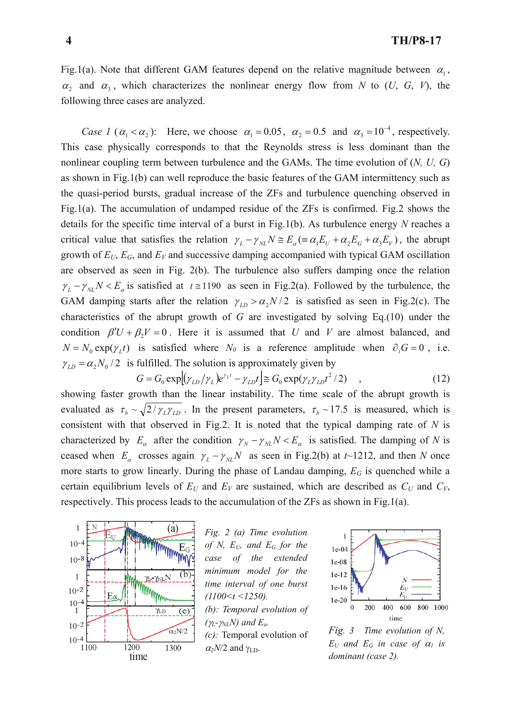Fig.1(a). Note that different GAM features depend on the relative magnitude between  $\alpha_1$ ,  $\alpha_2$  and  $\alpha_3$ , which characterizes the nonlinear energy flow from *N* to (*U*, *G*, *V*), the following three cases are analyzed.

*Case 1* ( $\alpha_1 < \alpha_2$ ): Here, we choose  $\alpha_1 = 0.05$ ,  $\alpha_2 = 0.5$  and  $\alpha_3 = 10^{-4}$ , respectively. This case physically corresponds to that the Reynolds stress is less dominant than the nonlinear coupling term between turbulence and the GAMs. The time evolution of (*N, U, G*) as shown in Fig.1(b) can well reproduce the basic features of the GAM intermittency such as the quasi-period bursts, gradual increase of the ZFs and turbulence quenching observed in Fig.1(a). The accumulation of undamped residue of the ZFs is confirmed. Fig.2 shows the details for the specific time interval of a burst in Fig.1(b). As turbulence energy *N* reaches a critical value that satisfies the relation  $\gamma_L - \gamma_{NL}N \cong E_\alpha (\equiv \alpha_1 E_U + \alpha_2 E_G + \alpha_3 E_V)$ , the abrupt growth of *EU*, *EG*, and *EV* and successive damping accompanied with typical GAM oscillation are observed as seen in Fig. 2(b). The turbulence also suffers damping once the relation  $\gamma_L - \gamma_{NL} N \lt E_a$  is satisfied at  $t \approx 1190$  as seen in Fig.2(a). Followed by the turbulence, the GAM damping starts after the relation  $\gamma_{LD} > \alpha_2 N/2$  is satisfied as seen in Fig.2(c). The characteristics of the abrupt growth of *G* are investigated by solving Eq.(10) under the condition  $\beta'U + \beta$ ,  $V = 0$ . Here it is assumed that *U* and *V* are almost balanced, and  $N = N_0 \exp(\gamma_L t)$  is satisfied where  $N_0$  is a reference amplitude when  $\partial_t G = 0$ , i.e.  $\gamma_{LD} = \alpha_2 N_0 / 2$  is fulfilled. The solution is approximately given by

$$
G = G_0 \exp[(\gamma_{LD}/\gamma_L)e^{\gamma_L t} - \gamma_{LD}t] \approx G_0 \exp(\gamma_L \gamma_{LD}t^2/2) \quad , \tag{12}
$$

showing faster growth than the linear instability. The time scale of the abrupt growth is evaluated as  $\tau_b \sim \sqrt{2/\gamma_L \gamma_{LD}}$ . In the present parameters,  $\tau_b \sim 17.5$  is measured, which is consistent with that observed in Fig.2. It is noted that the typical damping rate of *N* is characterized by  $E_a$  after the condition  $\gamma_N - \gamma_{NL}N < E_a$  is satisfied. The damping of *N* is ceased when  $E_\alpha$  crosses again  $\gamma_L - \gamma_{NL}N$  as seen in Fig.2(b) at *t*~1212, and then *N* once more starts to grow linearly. During the phase of Landau damping, *EG* is quenched while a certain equilibrium levels of  $E_U$  and  $E_V$  are sustained, which are described as  $C_U$  and  $C_V$ , respectively. This process leads to the accumulation of the ZFs as shown in Fig.1(a).



*Fig. 2 (a) Time evolution of N, EU, and EG for the case of the extended minimum model for the time interval of one burst (1100<t <1250). (b): Temporal evolution of (*γ*L-*γ*NLN) and Ea. (c):* Temporal evolution of  $\alpha_2$ *N*/2 and  $\gamma$ <sub>LD</sub>.



*Fig. 3 Time evolution of N,*   $E_U$  and  $E_G$  in case of  $\alpha_I$  is *dominant (case 2).*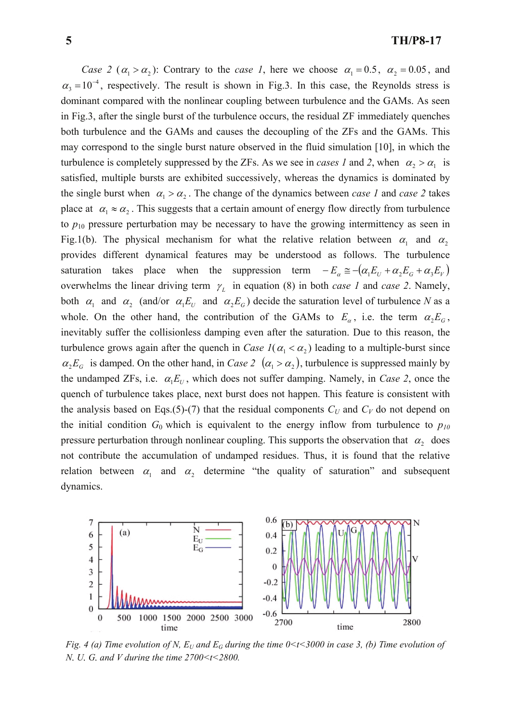*Case 2* ( $\alpha_1 > \alpha_2$ ): Contrary to the *case 1*, here we choose  $\alpha_1 = 0.5$ ,  $\alpha_2 = 0.05$ , and  $\alpha_3 = 10^{-4}$ , respectively. The result is shown in Fig.3. In this case, the Reynolds stress is dominant compared with the nonlinear coupling between turbulence and the GAMs. As seen in Fig.3, after the single burst of the turbulence occurs, the residual ZF immediately quenches both turbulence and the GAMs and causes the decoupling of the ZFs and the GAMs. This may correspond to the single burst nature observed in the fluid simulation [10], in which the turbulence is completely suppressed by the ZFs. As we see in *cases 1* and 2, when  $\alpha_2 > \alpha_1$  is satisfied, multiple bursts are exhibited successively, whereas the dynamics is dominated by the single burst when  $\alpha_1 > \alpha_2$ . The change of the dynamics between *case 1* and *case 2* takes place at  $\alpha_1 \approx \alpha_2$ . This suggests that a certain amount of energy flow directly from turbulence to  $p_{10}$  pressure perturbation may be necessary to have the growing intermittency as seen in Fig.1(b). The physical mechanism for what the relative relation between  $\alpha_1$  and  $\alpha_2$ provides different dynamical features may be understood as follows. The turbulence saturation takes place when the suppression term  $-E_a \approx -(\alpha_1 E_U + \alpha_2 E_G + \alpha_3 E_V)$ overwhelms the linear driving term  $\gamma_L$  in equation (8) in both *case 1* and *case 2*. Namely, both  $\alpha_1$  and  $\alpha_2$  (and/or  $\alpha_1 E_U$  and  $\alpha_2 E_G$ ) decide the saturation level of turbulence *N* as a whole. On the other hand, the contribution of the GAMs to  $E_a$ , i.e. the term  $\alpha_2 E_a$ , inevitably suffer the collisionless damping even after the saturation. Due to this reason, the turbulence grows again after the quench in *Case 1*( $\alpha_1 < \alpha_2$ ) leading to a multiple-burst since  $\alpha_2 E_G$  is damped. On the other hand, in *Case 2* ( $\alpha_1 > \alpha_2$ ), turbulence is suppressed mainly by the undamped ZFs, i.e.  $\alpha_1 E_U$ , which does not suffer damping. Namely, in *Case 2*, once the quench of turbulence takes place, next burst does not happen. This feature is consistent with the analysis based on Eqs.(5)-(7) that the residual components  $C_U$  and  $C_V$  do not depend on the initial condition  $G_0$  which is equivalent to the energy inflow from turbulence to  $p_{10}$ pressure perturbation through nonlinear coupling. This supports the observation that  $\alpha_2$  does not contribute the accumulation of undamped residues. Thus, it is found that the relative relation between  $\alpha_1$  and  $\alpha_2$  determine "the quality of saturation" and subsequent dynamics.



*Fig. 4 (a) Time evolution of N,*  $E_U$  *and*  $E_G$  *during the time 0<t<3000 in case 3, (b) Time evolution of N, U, G, and V during the time 2700<t<2800.*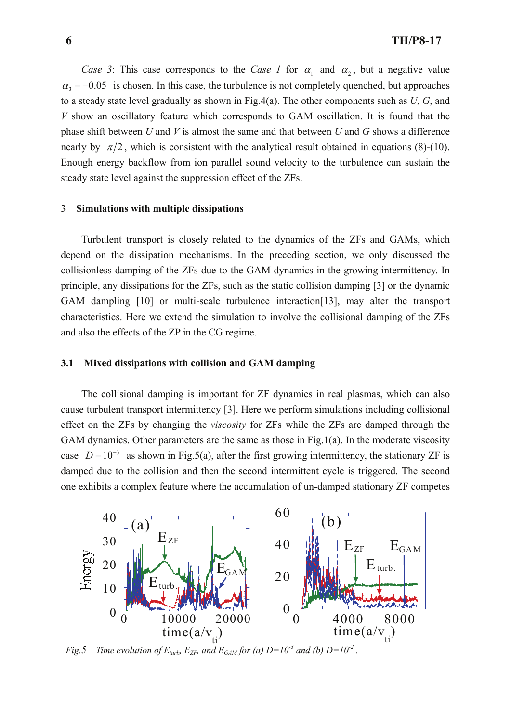*Case 3*: This case corresponds to the *Case 1* for  $\alpha_1$  and  $\alpha_2$ , but a negative value  $\alpha_3 = -0.05$  is chosen. In this case, the turbulence is not completely quenched, but approaches to a steady state level gradually as shown in Fig.4(a). The other components such as *U, G*, and *V* show an oscillatory feature which corresponds to GAM oscillation. It is found that the phase shift between *U* and *V* is almost the same and that between *U* and *G* shows a difference nearly by  $\pi/2$ , which is consistent with the analytical result obtained in equations (8)-(10). Enough energy backflow from ion parallel sound velocity to the turbulence can sustain the steady state level against the suppression effect of the ZFs.

#### 3 **Simulations with multiple dissipations**

 Turbulent transport is closely related to the dynamics of the ZFs and GAMs, which depend on the dissipation mechanisms. In the preceding section, we only discussed the collisionless damping of the ZFs due to the GAM dynamics in the growing intermittency. In principle, any dissipations for the ZFs, such as the static collision damping [3] or the dynamic GAM dampling [10] or multi-scale turbulence interaction[13], may alter the transport characteristics. Here we extend the simulation to involve the collisional damping of the ZFs and also the effects of the ZP in the CG regime.

### **3.1 Mixed dissipations with collision and GAM damping**

The collisional damping is important for ZF dynamics in real plasmas, which can also cause turbulent transport intermittency [3]. Here we perform simulations including collisional effect on the ZFs by changing the *viscosity* for ZFs while the ZFs are damped through the GAM dynamics. Other parameters are the same as those in Fig.1(a). In the moderate viscosity case  $D = 10^{-3}$  as shown in Fig.5(a), after the first growing intermittency, the stationary ZF is damped due to the collision and then the second intermittent cycle is triggered. The second one exhibits a complex feature where the accumulation of un-damped stationary ZF competes



*Fig.5* Time evolution of  $E_{turb}$ ,  $E_{ZF}$ , and  $E_{GAM}$  for (a)  $D=10^{-3}$  and (b)  $D=10^{-2}$ .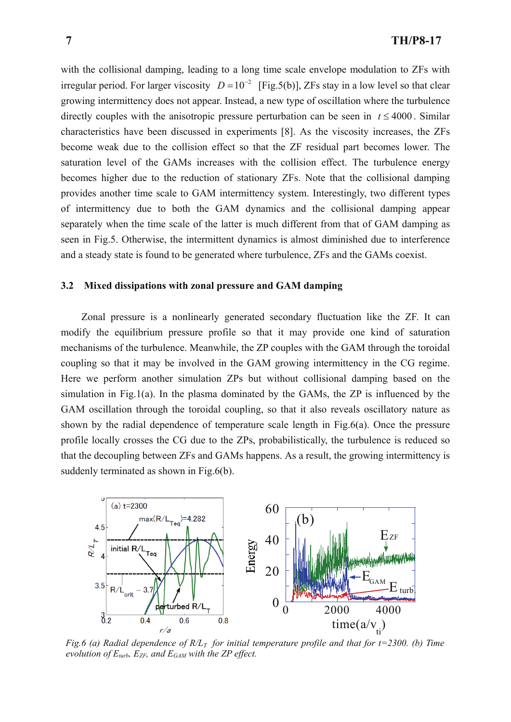with the collisional damping, leading to a long time scale envelope modulation to ZFs with irregular period. For larger viscosity  $D = 10^{-2}$  [Fig.5(b)], ZFs stay in a low level so that clear growing intermittency does not appear. Instead, a new type of oscillation where the turbulence directly couples with the anisotropic pressure perturbation can be seen in  $t \leq 4000$ . Similar characteristics have been discussed in experiments [8]. As the viscosity increases, the ZFs become weak due to the collision effect so that the ZF residual part becomes lower. The saturation level of the GAMs increases with the collision effect. The turbulence energy becomes higher due to the reduction of stationary ZFs. Note that the collisional damping provides another time scale to GAM intermittency system. Interestingly, two different types of intermittency due to both the GAM dynamics and the collisional damping appear separately when the time scale of the latter is much different from that of GAM damping as seen in Fig.5. Otherwise, the intermittent dynamics is almost diminished due to interference and a steady state is found to be generated where turbulence, ZFs and the GAMs coexist.

# **3.2 Mixed dissipations with zonal pressure and GAM damping**

Zonal pressure is a nonlinearly generated secondary fluctuation like the ZF. It can modify the equilibrium pressure profile so that it may provide one kind of saturation mechanisms of the turbulence. Meanwhile, the ZP couples with the GAM through the toroidal coupling so that it may be involved in the GAM growing intermittency in the CG regime. Here we perform another simulation ZPs but without collisional damping based on the simulation in Fig.1(a). In the plasma dominated by the GAMs, the ZP is influenced by the GAM oscillation through the toroidal coupling, so that it also reveals oscillatory nature as shown by the radial dependence of temperature scale length in Fig.6(a). Once the pressure profile locally crosses the CG due to the ZPs, probabilistically, the turbulence is reduced so that the decoupling between ZFs and GAMs happens. As a result, the growing intermittency is suddenly terminated as shown in Fig.6(b).



*Fig.6 (a) Radial dependence of R/L<sub>T</sub> for initial temperature profile and that for t=2300. (b) Time evolution of*  $E_{turb}$ *,*  $E_{ZF}$ *, and*  $E_{GAM}$  *with the ZP effect.*